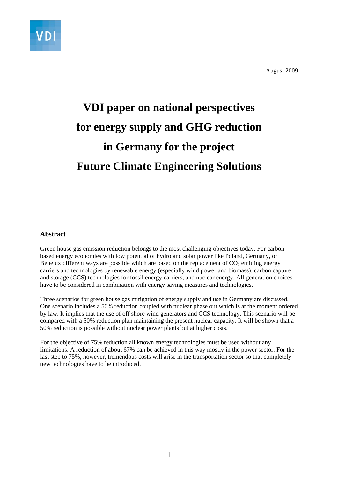

August 2009

## **VDI paper on national perspectives for energy supply and GHG reduction in Germany for the project Future Climate Engineering Solutions**

### **Abstract**

Green house gas emission reduction belongs to the most challenging objectives today. For carbon based energy economies with low potential of hydro and solar power like Poland, Germany, or Benelux different ways are possible which are based on the replacement of  $CO<sub>2</sub>$  emitting energy carriers and technologies by renewable energy (especially wind power and biomass), carbon capture and storage (CCS) technologies for fossil energy carriers, and nuclear energy. All generation choices have to be considered in combination with energy saving measures and technologies.

Three scenarios for green house gas mitigation of energy supply and use in Germany are discussed. One scenario includes a 50% reduction coupled with nuclear phase out which is at the moment ordered by law. It implies that the use of off shore wind generators and CCS technology. This scenario will be compared with a 50% reduction plan maintaining the present nuclear capacity. It will be shown that a 50% reduction is possible without nuclear power plants but at higher costs.

For the objective of 75% reduction all known energy technologies must be used without any limitations. A reduction of about 67% can be achieved in this way mostly in the power sector. For the last step to 75%, however, tremendous costs will arise in the transportation sector so that completely new technologies have to be introduced.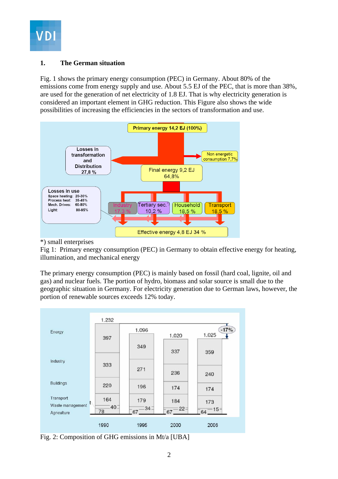

### **1. The German situation**

Fig. 1 shows the primary energy consumption (PEC) in Germany. About 80% of the emissions come from energy supply and use. About 5.5 EJ of the PEC, that is more than 38%, are used for the generation of net electricity of 1.8 EJ. That is why electricity generation is considered an important element in GHG reduction. This Figure also shows the wide possibilities of increasing the efficiencies in the sectors of transformation and use.



### \*) small enterprises

Fig 1: Primary energy consumption (PEC) in Germany to obtain effective energy for heating, illumination, and mechanical energy

The primary energy consumption (PEC) is mainly based on fossil (hard coal, lignite, oil and gas) and nuclear fuels. The portion of hydro, biomass and solar source is small due to the geographic situation in Germany. For electricity generation due to German laws, however, the portion of renewable sources exceeds 12% today.



Fig. 2: Composition of GHG emissions in Mt/a [UBA]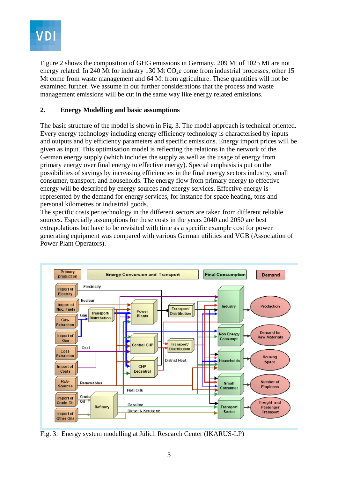

Figure 2 shows the composition of GHG emissions in Germany. 209 Mt of 1025 Mt are not energy related: In 240 Mt for industry 130 Mt  $CO<sub>2</sub>e$  come from industrial processes, other 15 Mt come from waste management and 64 Mt from agriculture. These quantities will not be examined further. We assume in our further considerations that the process and waste management emissions will be cut in the same way like energy related emissions.

### **2. Energy Modelling and basic assumptions**

The basic structure of the model is shown in Fig. 3. The model approach is technical oriented. Every energy technology including energy efficiency technology is characterised by inputs and outputs and by efficiency parameters and specific emissions. Energy import prices will be given as input. This optimisation model is reflecting the relations in the network of the German energy supply (which includes the supply as well as the usage of energy from primary energy over final energy to effective energy). Special emphasis is put on the possibilities of savings by increasing efficiencies in the final energy sectors industry, small consumer, transport, and households. The energy flow from primary energy to effective energy will be described by energy sources and energy services. Effective energy is represented by the demand for energy services, for instance for space heating, tons and personal kilometres or industrial goods.

The specific costs per technology in the different sectors are taken from different reliable sources. Especially assumptions for these costs in the years 2040 and 2050 are best extrapolations but have to be revisited with time as a specific example cost for power generating equipment was compared with various German utilities and VGB (Association of Power Plant Operators).



Fig. 3: Energy system modelling at Jülich Research Center (IKARUS-LP)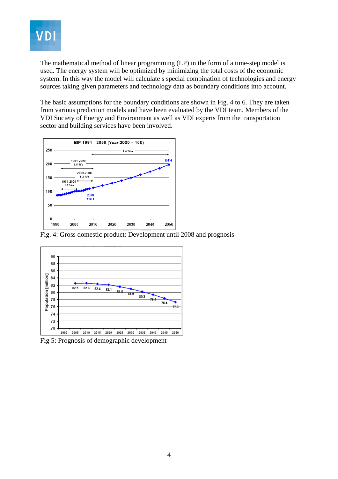

The mathematical method of linear programming (LP) in the form of a time-step model is used. The energy system will be optimized by minimizing the total costs of the economic system. In this way the model will calculate s special combination of technologies and energy sources taking given parameters and technology data as boundary conditions into account.

The basic assumptions for the boundary conditions are shown in Fig. 4 to 6. They are taken from various prediction models and have been evaluated by the VDI team. Members of the VDI Society of Energy and Environment as well as VDI experts from the transportation sector and building services have been involved.



Fig. 4: Gross domestic product: Development until 2008 and prognosis



Fig 5: Prognosis of demographic development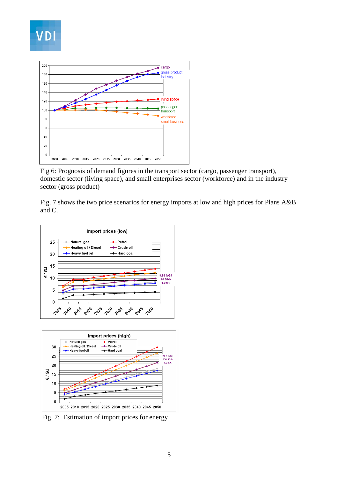

Fig 6: Prognosis of demand figures in the transport sector (cargo, passenger transport), domestic sector (living space), and small enterprises sector (workforce) and in the industry sector (gross product)

Fig. 7 shows the two price scenarios for energy imports at low and high prices for Plans A&B and C.





Fig. 7: Estimation of import prices for energy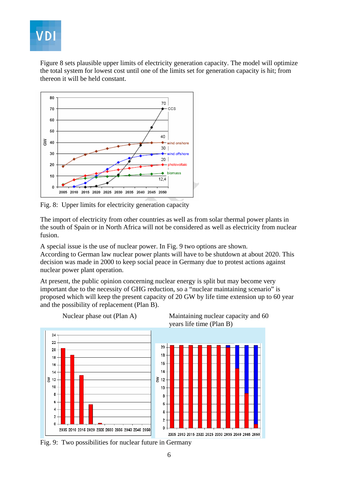

Figure 8 sets plausible upper limits of electricity generation capacity. The model will optimize the total system for lowest cost until one of the limits set for generation capacity is hit; from thereon it will be held constant.



Fig. 8: Upper limits for electricity generation capacity

The import of electricity from other countries as well as from solar thermal power plants in the south of Spain or in North Africa will not be considered as well as electricity from nuclear fusion.

A special issue is the use of nuclear power. In Fig. 9 two options are shown. According to German law nuclear power plants will have to be shutdown at about 2020. This decision was made in 2000 to keep social peace in Germany due to protest actions against nuclear power plant operation.

At present, the public opinion concerning nuclear energy is split but may become very important due to the necessity of GHG reduction, so a "nuclear maintaining scenario" is proposed which will keep the present capacity of 20 GW by life time extension up to 60 year and the possibility of replacement (Plan B).



Fig. 9: Two possibilities for nuclear future in Germany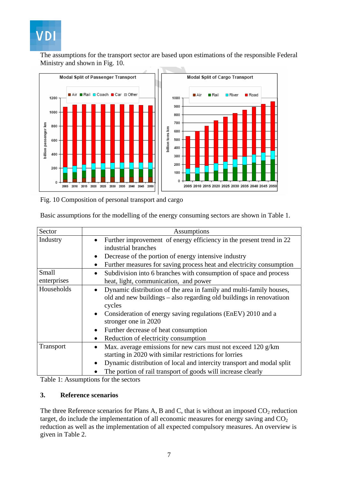# **VDI**

The assumptions for the transport sector are based upon estimations of the responsible Federal Ministry and shown in Fig. 10.



Fig. 10 Composition of personal transport and cargo

| Basic assumptions for the modelling of the energy consuming sectors are shown in Table 1. |  |  |  |  |  |
|-------------------------------------------------------------------------------------------|--|--|--|--|--|
|                                                                                           |  |  |  |  |  |

| Sector               | Assumptions                                                                                                                                                                                                                                                                                                                                                                      |
|----------------------|----------------------------------------------------------------------------------------------------------------------------------------------------------------------------------------------------------------------------------------------------------------------------------------------------------------------------------------------------------------------------------|
| Industry             | Further improvement of energy efficiency in the present trend in 22<br>$\bullet$<br>industrial branches                                                                                                                                                                                                                                                                          |
|                      | Decrease of the portion of energy intensive industry<br>$\bullet$                                                                                                                                                                                                                                                                                                                |
|                      | Further measures for saving process heat and electricity consumption<br>$\bullet$                                                                                                                                                                                                                                                                                                |
| Small<br>enterprises | Subdivision into 6 branches with consumption of space and process<br>$\bullet$<br>heat, light, communication, and power                                                                                                                                                                                                                                                          |
| Households           | Dynamic distribution of the area in family and multi-family houses,<br>$\bullet$<br>old and new buildings - also regarding old buildings in renovatiuon<br>cycles<br>Consideration of energy saving regulations (EnEV) 2010 and a<br>$\bullet$<br>stronger one in 2020<br>Further decrease of heat consumption<br>$\bullet$<br>Reduction of electricity consumption<br>$\bullet$ |
| Transport            | Max. average emissions for new cars must not exceed 120 g/km<br>$\bullet$<br>starting in 2020 with similar restrictions for lorries<br>Dynamic distribution of local and intercity transport and modal split<br>$\bullet$<br>The portion of rail transport of goods will increase clearly                                                                                        |

Table 1: Assumptions for the sectors

### **3. Reference scenarios**

The three Reference scenarios for Plans A, B and C, that is without an imposed  $CO<sub>2</sub>$  reduction target, do include the implementation of all economic measures for energy saving and  $CO<sub>2</sub>$ reduction as well as the implementation of all expected compulsory measures. An overview is given in Table 2.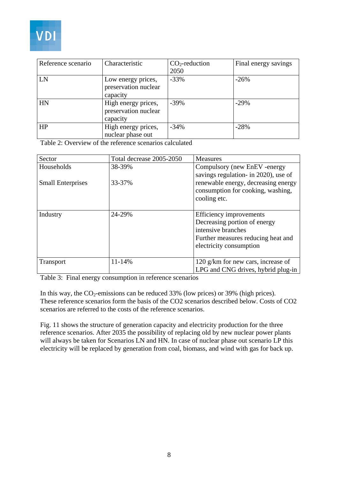

| Reference scenario | Characteristic                                          | $CO2$ -reduction<br>2050 | Final energy savings |
|--------------------|---------------------------------------------------------|--------------------------|----------------------|
| LN                 | Low energy prices,<br>preservation nuclear<br>capacity  | $-33%$                   | $-26%$               |
| HN                 | High energy prices,<br>preservation nuclear<br>capacity | $-39\%$                  | $-29%$               |
| HP                 | High energy prices,<br>nuclear phase out                | $-34%$                   | $-28%$               |

Table 2: Overview of the reference scenarios calculated

| Sector                   | Total decrease 2005-2050 | <b>Measures</b>                                                                                                                                |
|--------------------------|--------------------------|------------------------------------------------------------------------------------------------------------------------------------------------|
| Households               | 38-39%                   | Compulsory (new EnEV -energy                                                                                                                   |
| <b>Small Enterprises</b> | 33-37%                   | savings regulation- in 2020), use of<br>renewable energy, decreasing energy<br>consumption for cooking, washing,<br>cooling etc.               |
| Industry                 | 24-29%                   | Efficiency improvements<br>Decreasing portion of energy<br>intensive branches<br>Further measures reducing heat and<br>electricity consumption |
| <b>Transport</b>         | 11-14%                   | 120 g/km for new cars, increase of<br>LPG and CNG drives, hybrid plug-in                                                                       |

Table 3: Final energy consumption in reference scenarios

In this way, the  $CO_2$ -emissions can be reduced 33% (low prices) or 39% (high prices). These reference scenarios form the basis of the CO2 scenarios described below. Costs of CO2 scenarios are referred to the costs of the reference scenarios.

Fig. 11 shows the structure of generation capacity and electricity production for the three reference scenarios. After 2035 the possibility of replacing old by new nuclear power plants will always be taken for Scenarios LN and HN. In case of nuclear phase out scenario LP this electricity will be replaced by generation from coal, biomass, and wind with gas for back up.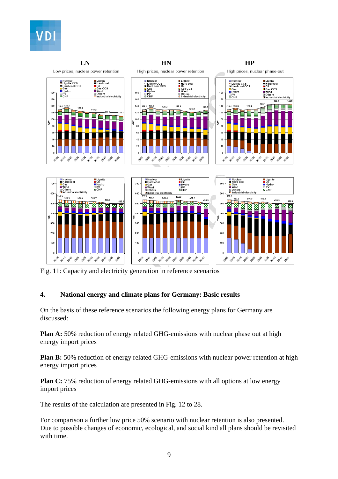



Fig. 11: Capacity and electricity generation in reference scenarios

### **4. National energy and climate plans for Germany: Basic results**

On the basis of these reference scenarios the following energy plans for Germany are discussed:

**Plan A:** 50% reduction of energy related GHG-emissions with nuclear phase out at high energy import prices

**Plan B:** 50% reduction of energy related GHG-emissions with nuclear power retention at high energy import prices

**Plan C:** 75% reduction of energy related GHG-emissions with all options at low energy import prices

The results of the calculation are presented in Fig. 12 to 28.

For comparison a further low price 50% scenario with nuclear retention is also presented. Due to possible changes of economic, ecological, and social kind all plans should be revisited with time.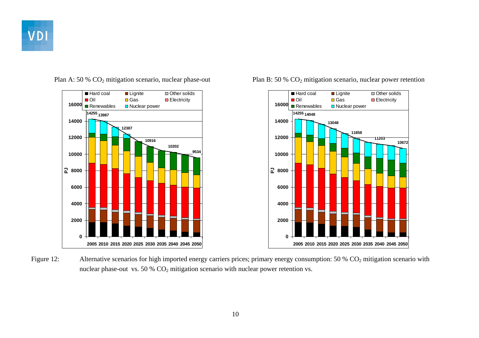





Plan A: 50 % CO<sub>2</sub> mitigation scenario, nuclear phase-out Plan B: 50 % CO<sub>2</sub> mitigation scenario, nuclear power retention

Figure 12: Alternative scenarios for high imported energy carriers prices; primary energy consumption: 50 % CO<sub>2</sub> mitigation scenario with nuclear phase-out vs. 50 %  $CO<sub>2</sub>$  mitigation scenario with nuclear power retention vs.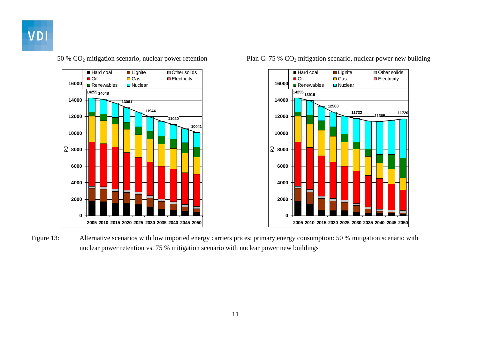





Figure 13: Alternative scenarios with low imported energy carriers prices; primary energy consumption: 50 % mitigation scenario with nuclear power retention vs. 75 % mitigation scenario with nuclear power new buildings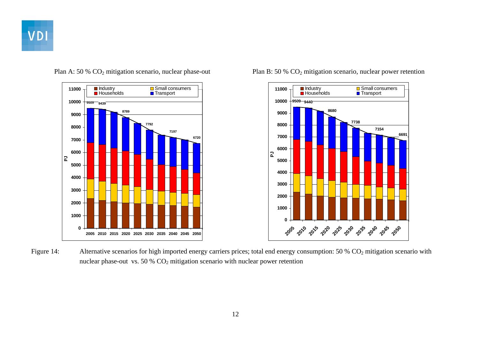





Plan A: 50 % CO<sub>2</sub> mitigation scenario, nuclear phase-out Plan B: 50 % CO<sub>2</sub> mitigation scenario, nuclear power retention

Figure 14: Alternative scenarios for high imported energy carriers prices; total end energy consumption: 50 % CO<sub>2</sub> mitigation scenario with nuclear phase-out vs. 50 %  $CO<sub>2</sub>$  mitigation scenario with nuclear power retention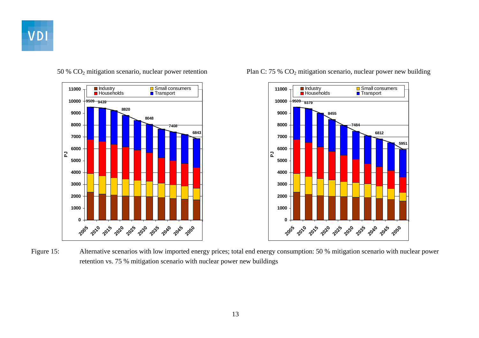





50 % CO2 mitigation scenario, nuclear power retention Plan C: 75 % CO2 mitigation scenario, nuclear power new building

Figure 15: Alternative scenarios with low imported energy prices; total end energy consumption: 50 % mitigation scenario with nuclear power retention vs. 75 % mitigation scenario with nuclear power new buildings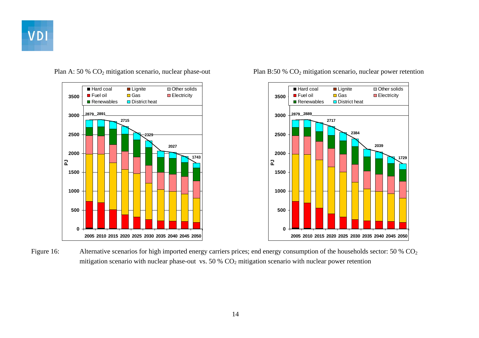





Plan A: 50 % CO<sub>2</sub> mitigation scenario, nuclear phase-out Plan B:50 % CO<sub>2</sub> mitigation scenario, nuclear power retention

Figure 16: Alternative scenarios for high imported energy carriers prices; end energy consumption of the households sector: 50 % CO<sub>2</sub> mitigation scenario with nuclear phase-out vs. 50 %  $CO<sub>2</sub>$  mitigation scenario with nuclear power retention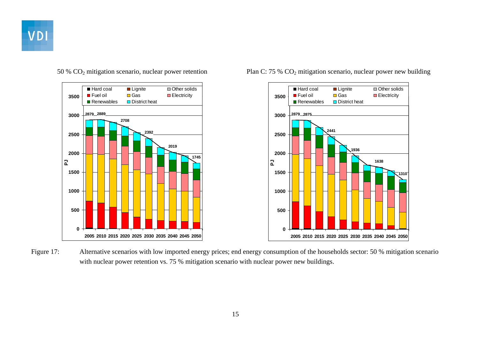





50 % CO2 mitigation scenario, nuclear power retention Plan C: 75 % CO2 mitigation scenario, nuclear power new building

Figure 17: Alternative scenarios with low imported energy prices; end energy consumption of the households sector: 50 % mitigation scenario with nuclear power retention vs. 75 % mitigation scenario with nuclear power new buildings.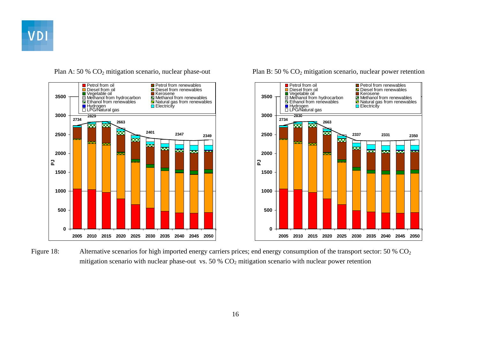

**2734**

**0**

**500**

**1000**

**1500**

**PJ**

**2000**

**2500**

**3000**

**3500**

**2829**

**Petrol from oil** 

Diesel from oil

■ Hydrogen<br>□ Hydrogen Electricity LPG/Natural gas

œ

**2401**

≂

≂

œ

■ Vegetable oil Methanol from hydrocarbon Methanol from renewables<br>
■ Methanol from renewables Methanol from renewables<br>
■ Hydrogen Methanol from renewables Methanol from renewables

I Diesel from renewables

**2005 2010 2015 2020 2025 2030 2035 2040 2045 2050**

**2347**

23

**Petrol from renewables** 

**2349**

**2663**



Plan A: 50 % CO<sub>2</sub> mitigation scenario, nuclear phase-out Plan B: 50 % CO<sub>2</sub> mitigation scenario, nuclear power retention

Figure 18: Alternative scenarios for high imported energy carriers prices; end energy consumption of the transport sector: 50 % CO<sub>2</sub> mitigation scenario with nuclear phase-out vs. 50 %  $CO<sub>2</sub>$  mitigation scenario with nuclear power retention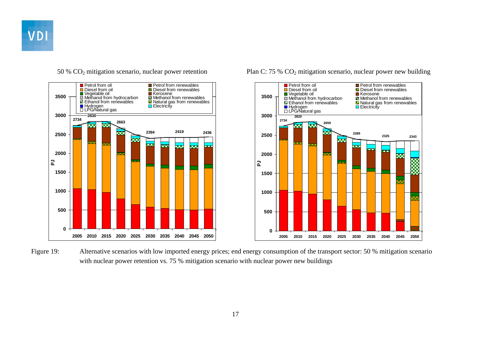

**2734**

**0**

**500**

**1000**

**1500**

**PJ**

**2000**

**2500**

**3000**

**3500**

**2830**

**Petrol from oil** 

Diesel from oil

**2394**

œ

ł.

55

■ Vegetable oil<br>
■ Vegetable oil Methanol from hydrocarbon Methanol from renewables<br>
■ Rethanol from renewables Methanol from renewables

I Diesel from renewables

**2005 2010 2015 2020 2025 2030 2035 2040 2045 2050**

**2419 2436**

**Reco** 

**Petrol from renewables** 

**2663**

œ

■ Hydrogen Electricity LPG/Natural gas<br>□ LPG/Natural gas

ळ्ळ



50 % CO2 mitigation scenario, nuclear power retention Plan C: 75 % CO2 mitigation scenario, nuclear power new building

Figure 19: Alternative scenarios with low imported energy prices; end energy consumption of the transport sector: 50 % mitigation scenario with nuclear power retention vs. 75 % mitigation scenario with nuclear power new buildings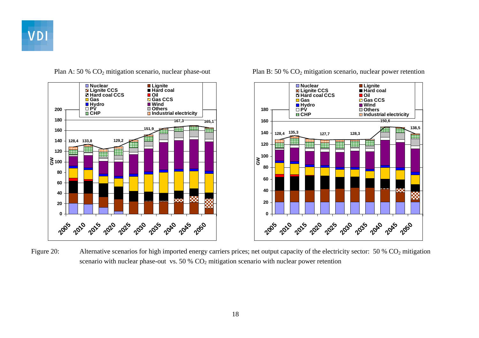



Plan A: 50 % CO<sub>2</sub> mitigation scenario, nuclear phase-out Plan B: 50 % CO<sub>2</sub> mitigation scenario, nuclear power retention



Figure 20: Alternative scenarios for high imported energy carriers prices; net output capacity of the electricity sector: 50 % CO<sub>2</sub> mitigation scenario with nuclear phase-out vs.  $50\%$  CO<sub>2</sub> mitigation scenario with nuclear power retention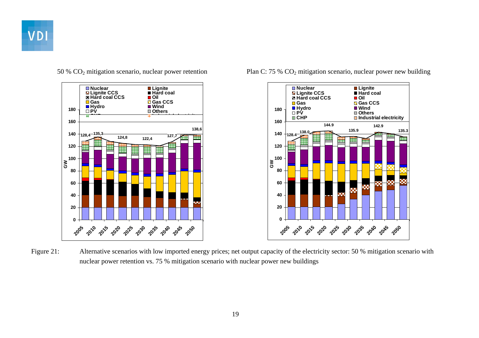





50 % CO2 mitigation scenario, nuclear power retention Plan C: 75 % CO2 mitigation scenario, nuclear power new building

Figure 21: Alternative scenarios with low imported energy prices; net output capacity of the electricity sector: 50 % mitigation scenario with nuclear power retention vs. 75 % mitigation scenario with nuclear power new buildings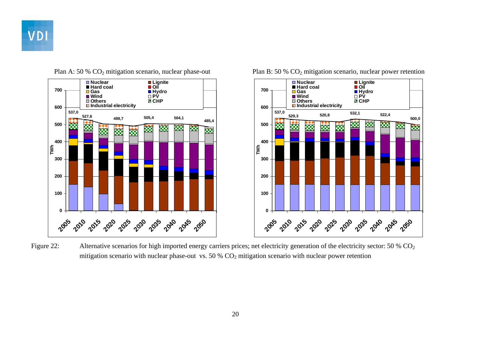





Plan A: 50 % CO<sub>2</sub> mitigation scenario, nuclear phase-out Plan B: 50 % CO<sub>2</sub> mitigation scenario, nuclear power retention

Figure 22: Alternative scenarios for high imported energy carriers prices; net electricity generation of the electricity sector: 50 % CO<sub>2</sub> mitigation scenario with nuclear phase-out vs. 50 %  $CO<sub>2</sub>$  mitigation scenario with nuclear power retention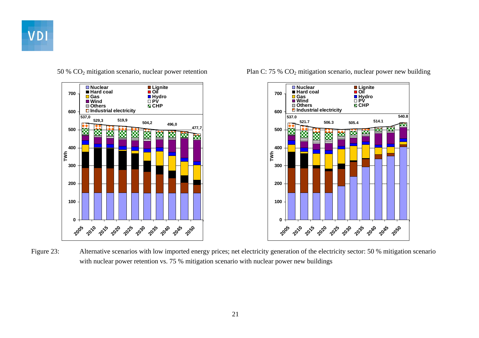



50 % CO2 mitigation scenario, nuclear power retention Plan C: 75 % CO2 mitigation scenario, nuclear power new building



Figure 23: Alternative scenarios with low imported energy prices; net electricity generation of the electricity sector: 50 % mitigation scenario with nuclear power retention vs. 75 % mitigation scenario with nuclear power new buildings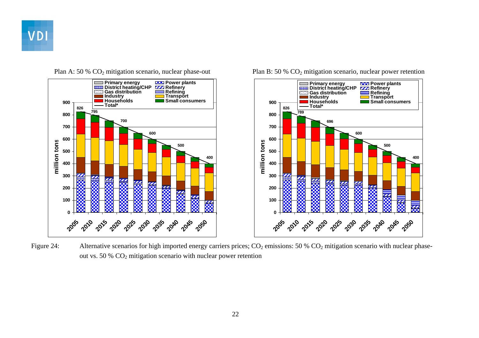





Plan A: 50 % CO<sub>2</sub> mitigation scenario, nuclear phase-out Plan B: 50 % CO<sub>2</sub> mitigation scenario, nuclear power retention

Figure 24: Alternative scenarios for high imported energy carriers prices;  $CO_2$  emissions: 50 %  $CO_2$  mitigation scenario with nuclear phaseout vs. 50 %  $CO<sub>2</sub>$  mitigation scenario with nuclear power retention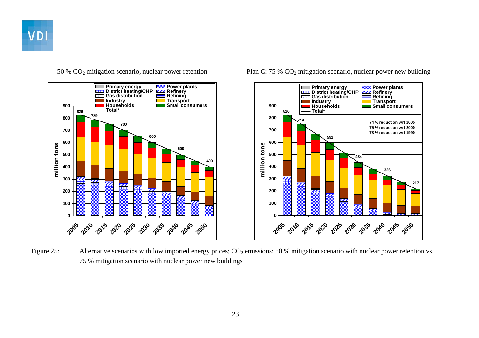



50 % CO2 mitigation scenario, nuclear power retention Plan C: 75 % CO2 mitigation scenario, nuclear power new building



Figure 25: Alternative scenarios with low imported energy prices; CO<sub>2</sub> emissions: 50 % mitigation scenario with nuclear power retention vs. 75 % mitigation scenario with nuclear power new buildings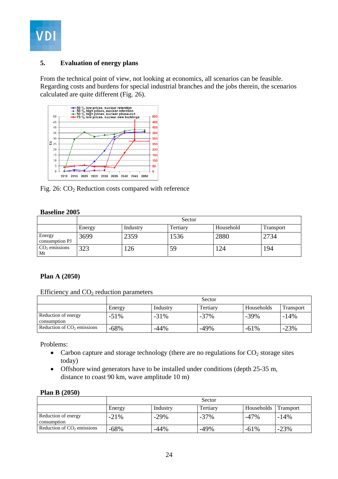

### **5. Evaluation of energy plans**

From the technical point of view, not looking at economics, all scenarios can be feasible. Regarding costs and burdens for special industrial branches and the jobs therein, the scenarios calculated are quite different (Fig. 26).



Fig. 26: CO<sub>2</sub> Reduction costs compared with reference

### **Baseline 2005**

|                          | Sector |          |          |           |                  |  |
|--------------------------|--------|----------|----------|-----------|------------------|--|
|                          | Energy | Industry | Tertiary | Household | <b>Transport</b> |  |
| Energy<br>consumption PJ | 3699   | 2359     | 1536     | 2880      | 2734             |  |
| $CO2$ emissions<br>Mt    | 323    | 126      | 59       | 124       | 194              |  |

### **Plan A (2050)**

Efficiency and  $CO<sub>2</sub>$  reduction parameters

|                                    | Sector  |          |          |            |                  |  |
|------------------------------------|---------|----------|----------|------------|------------------|--|
|                                    | Energy  | Industry | Tertiary | Households | <b>Transport</b> |  |
| Reduction of energy<br>consumption | $-51\%$ | $-31%$   | $-37%$   | $-39\%$    | $-14%$           |  |
| Reduction of $CO2$ emissions       | $-68%$  | $-44%$   | $-49%$   | $-61%$     | $-23%$           |  |

Problems:

- Carbon capture and storage technology (there are no regulations for  $CO<sub>2</sub>$  storage sites today)
- Offshore wind generators have to be installed under conditions (depth 25-35 m, distance to coast 90 km, wave amplitude 10 m)

| <b>Plan B</b> (2050) |  |
|----------------------|--|
|----------------------|--|

|                                    | Sector  |          |          |            |                  |  |
|------------------------------------|---------|----------|----------|------------|------------------|--|
|                                    | Energy  | Industry | Tertiary | Households | <b>Transport</b> |  |
| Reduction of energy<br>consumption | $-21\%$ | $-29%$   | $-37%$   | $-47%$     | $-14%$           |  |
| Reduction of $CO2$ emissions       | $-68%$  | -44%     | $-49%$   | $-61%$     | $-23%$           |  |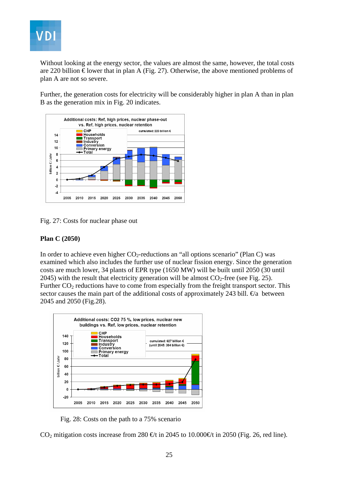

Without looking at the energy sector, the values are almost the same, however, the total costs are 220 billion  $\epsilon$  lower that in plan A (Fig. 27). Otherwise, the above mentioned problems of plan A are not so severe.

Further, the generation costs for electricity will be considerably higher in plan A than in plan B as the generation mix in Fig. 20 indicates.



Fig. 27: Costs for nuclear phase out

### **Plan C (2050)**

In order to achieve even higher  $CO_2$ -reductions an "all options scenario" (Plan C) was examined which also includes the further use of nuclear fission energy. Since the generation costs are much lower, 34 plants of EPR type (1650 MW) will be built until 2050 (30 until 2045) with the result that electricity generation will be almost  $CO<sub>2</sub>$ -free (see Fig. 25). Further  $CO<sub>2</sub>$  reductions have to come from especially from the freight transport sector. This sector causes the main part of the additional costs of approximately 243 bill.  $\epsilon$ a between 2045 and 2050 (Fig.28).



Fig. 28: Costs on the path to a 75% scenario

CO<sub>2</sub> mitigation costs increase from 280 €t in 2045 to 10.000€t in 2050 (Fig. 26, red line).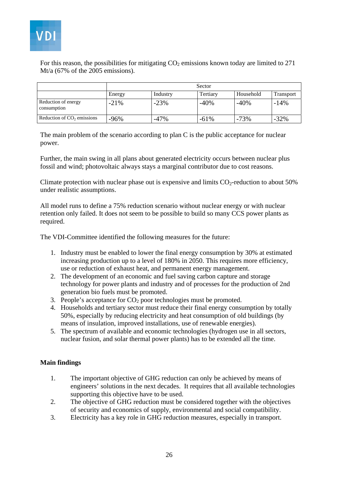

For this reason, the possibilities for mitigating  $CO<sub>2</sub>$  emissions known today are limited to 271 Mt/a (67% of the 2005 emissions).

|                                    | Sector |          |          |           |                  |  |
|------------------------------------|--------|----------|----------|-----------|------------------|--|
|                                    | Energy | Industry | Tertiary | Household | <b>Transport</b> |  |
| Reduction of energy<br>consumption | $-21%$ | $-23%$   | $-40%$   | $-40%$    | $-14%$           |  |
| Reduction of $CO2$ emissions       | $-96%$ | $-47%$   | $-61%$   | $-73%$    | $-32%$           |  |

The main problem of the scenario according to plan C is the public acceptance for nuclear power.

Further, the main swing in all plans about generated electricity occurs between nuclear plus fossil and wind; photovoltaic always stays a marginal contributor due to cost reasons.

Climate protection with nuclear phase out is expensive and limits  $CO<sub>2</sub>$ -reduction to about 50% under realistic assumptions.

All model runs to define a 75% reduction scenario without nuclear energy or with nuclear retention only failed. It does not seem to be possible to build so many CCS power plants as required.

The VDI-Committee identified the following measures for the future:

- 1. Industry must be enabled to lower the final energy consumption by 30% at estimated increasing production up to a level of 180% in 2050. This requires more efficiency, use or reduction of exhaust heat, and permanent energy management.
- 2. The development of an economic and fuel saving carbon capture and storage technology for power plants and industry and of processes for the production of 2nd generation bio fuels must be promoted.
- 3. People's acceptance for  $CO<sub>2</sub>$  poor technologies must be promoted.
- 4. Households and tertiary sector must reduce their final energy consumption by totally 50%, especially by reducing electricity and heat consumption of old buildings (by means of insulation, improved installations, use of renewable energies).
- 5. The spectrum of available and economic technologies (hydrogen use in all sectors, nuclear fusion, and solar thermal power plants) has to be extended all the time.

### **Main findings**

- 1. The important objective of GHG reduction can only be achieved by means of engineers' solutions in the next decades. It requires that all available technologies supporting this objective have to be used.
- 2. The objective of GHG reduction must be considered together with the objectives of security and economics of supply, environmental and social compatibility.
- 3. Electricity has a key role in GHG reduction measures, especially in transport.